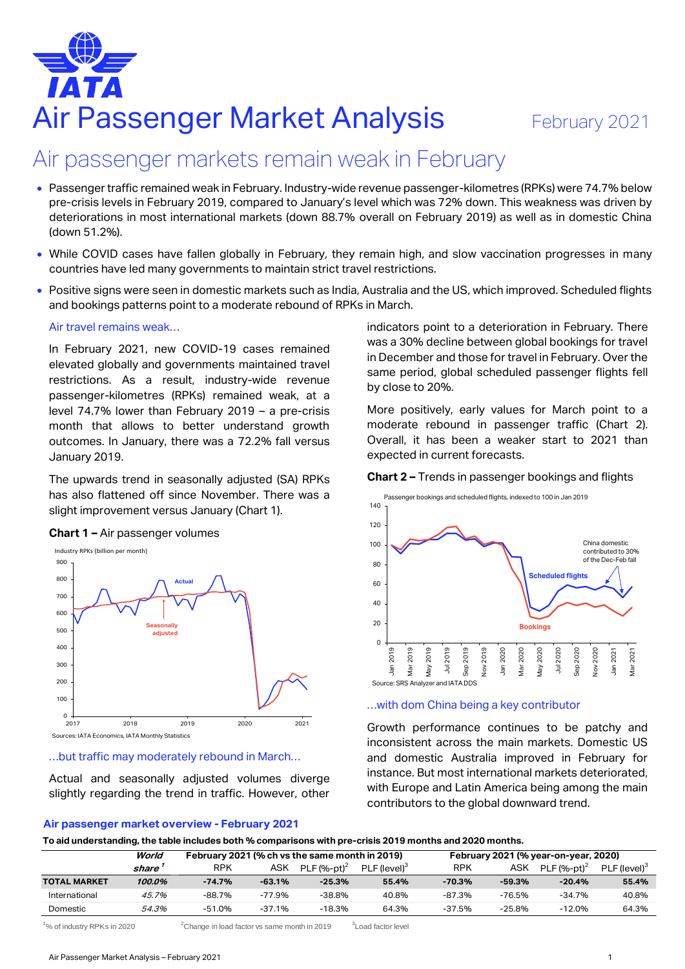# Air Passenger Market Analysis February 2021

# Air passenger markets remain weak in February

- Passenger traffic remained weak in February. Industry-wide revenue passenger-kilometres (RPKs) were 74.7% below pre-crisis levels in February 2019, compared to January's level which was 72% down. This weakness was driven by deteriorations in most international markets (down 88.7% overall on February 2019) as well as in domestic China (down 51.2%).
- While COVID cases have fallen globally in February, they remain high, and slow vaccination progresses in many countries have led many governments to maintain strict travel restrictions.
- Positive signs were seen in domestic markets such as India, Australia and the US, which improved. Scheduled flights and bookings patterns point to a moderate rebound of RPKs in March.

#### Air travel remains weak…

In February 2021, new COVID-19 cases remained elevated globally and governments maintained travel restrictions. As a result, industry-wide revenue passenger-kilometres (RPKs) remained weak, at a level 74.7% lower than February 2019 – a pre-crisis month that allows to better understand growth outcomes. In January, there was a 72.2% fall versus January 2019.

The upwards trend in seasonally adjusted (SA) RPKs has also flattened off since November. There was a slight improvement versus January (Chart 1).





Sources: IATA Economics, IATA Monthly Statistics

#### …but traffic may moderately rebound in March…

Actual and seasonally adjusted volumes diverge slightly regarding the trend in traffic. However, other

#### **Air passenger market overview - February 2021**

indicators point to a deterioration in February. There was a 30% decline between global bookings for travel in December and those for travel in February. Over the same period, global scheduled passenger flights fell by close to 20%.

More positively, early values for March point to a moderate rebound in passenger traffic (Chart 2). Overall, it has been a weaker start to 2021 than expected in current forecasts.

#### **Chart 2 –** Trends in passenger bookings and flights



#### …with dom China being a key contributor

Growth performance continues to be patchy and inconsistent across the main markets. Domestic US and domestic Australia improved in February for instance. But most international markets deteriorated, with Europe and Latin America being among the main contributors to the global downward trend.

**To aid understanding, the table includes both % comparisons with pre-crisis 2019 months and 2020 months.**

|                     | World  | February 2021 (% ch vs the same month in 2019) |          |                 |                          | February 2021 (% year-on-year, 2020) |          |                |                          |
|---------------------|--------|------------------------------------------------|----------|-----------------|--------------------------|--------------------------------------|----------|----------------|--------------------------|
|                     | share  | RPK                                            | ASK      | PLF $(96-pt)^2$ | PLF (level) <sup>3</sup> | RPK                                  | ASK      | PLF $(%-nt)^2$ | PLF (level) <sup>3</sup> |
| <b>TOTAL MARKET</b> | 100.0% | -74.7%                                         | $-63.1%$ | -25.3%          | 55.4%                    | -70.3%                               | -59.3%   | $-20.4%$       | 55.4%                    |
| International       | 45.7%  | -88.7%                                         | -77.9%   | $-38.8%$        | 40.8%                    | $-87.3%$                             | -76.5%   | $-34.7%$       | 40.8%                    |
| Domestic            | 54.3%  | -51.0%                                         | $-37.1%$ | -18.3%          | 64.3%                    | $-37.5%$                             | $-25.8%$ | $-12.0%$       | 64.3%                    |

 $^{1}$ % of industry RPKs in 2020  $^{2}$ Change in load factor vs same month in 2019  $^{3}$ Load factor level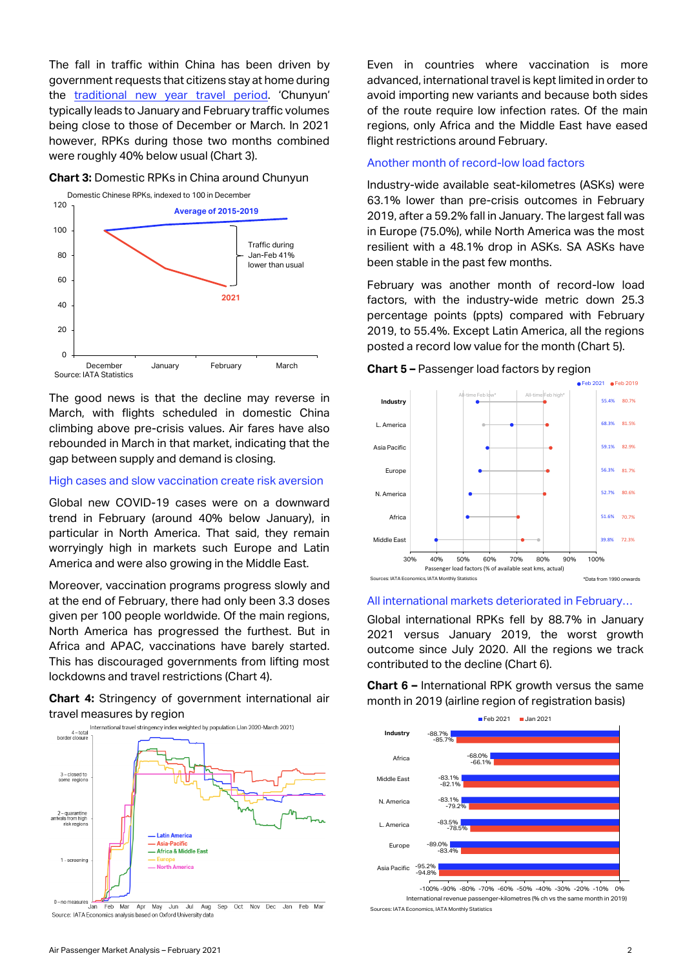The fall in traffic within China has been driven by government requests that citizens stay at home during the [traditional new year travel](https://www.iata.org/en/iata-repository/publications/economic-reports/air-travel-revenue-boost-from-chinese-new-year-may-be-absent/) period. 'Chunyun' typically leads to January and February traffic volumes being close to those of December or March. In 2021 however, RPKs during those two months combined were roughly 40% below usual (Chart 3).

#### **Chart 3:** Domestic RPKs in China around Chunyun



The good news is that the decline may reverse in March, with flights scheduled in domestic China climbing above pre-crisis values. Air fares have also rebounded in March in that market, indicating that the gap between supply and demand is closing.

#### High cases and slow vaccination create risk aversion

Global new COVID-19 cases were on a downward trend in February (around 40% below January), in particular in North America. That said, they remain worryingly high in markets such Europe and Latin America and were also growing in the Middle East.

Moreover, vaccination programs progress slowly and at the end of February, there had only been 3.3 doses given per 100 people worldwide. Of the main regions, North America has progressed the furthest. But in Africa and APAC, vaccinations have barely started. This has discouraged governments from lifting most lockdowns and travel restrictions (Chart 4).

**Chart 4:** Stringency of government international air travel measures by region



Sep Oct Nov Dec Jan Feb Mar Apr May Feb Mar Jun Jul Aug Source: IATA Economics analysis based on Oxford University data

Even in countries where vaccination is more advanced, international travel is kept limited in order to avoid importing new variants and because both sides of the route require low infection rates. Of the main regions, only Africa and the Middle East have eased flight restrictions around February.

#### Another month of record-low load factors

Industry-wide available seat-kilometres (ASKs) were 63.1% lower than pre-crisis outcomes in February 2019, after a 59.2% fall in January. The largest fall was in Europe (75.0%), while North America was the most resilient with a 48.1% drop in ASKs. SA ASKs have been stable in the past few months.

February was another month of record-low load factors, with the industry-wide metric down 25.3 percentage points (ppts) compared with February 2019, to 55.4%. Except Latin America, all the regions posted a record low value for the month (Chart 5).



### **Chart 5 –** Passenger load factors by region

#### All international markets deteriorated in February…

Global international RPKs fell by 88.7% in January 2021 versus January 2019, the worst growth outcome since July 2020. All the regions we track contributed to the decline (Chart 6).

**Chart 6 –** International RPK growth versus the same month in 2019 (airline region of registration basis)



International revenue passenger-kilometres (% ch vs the same month in 2019) Sources: IATA Economics, IATA Monthly Statistics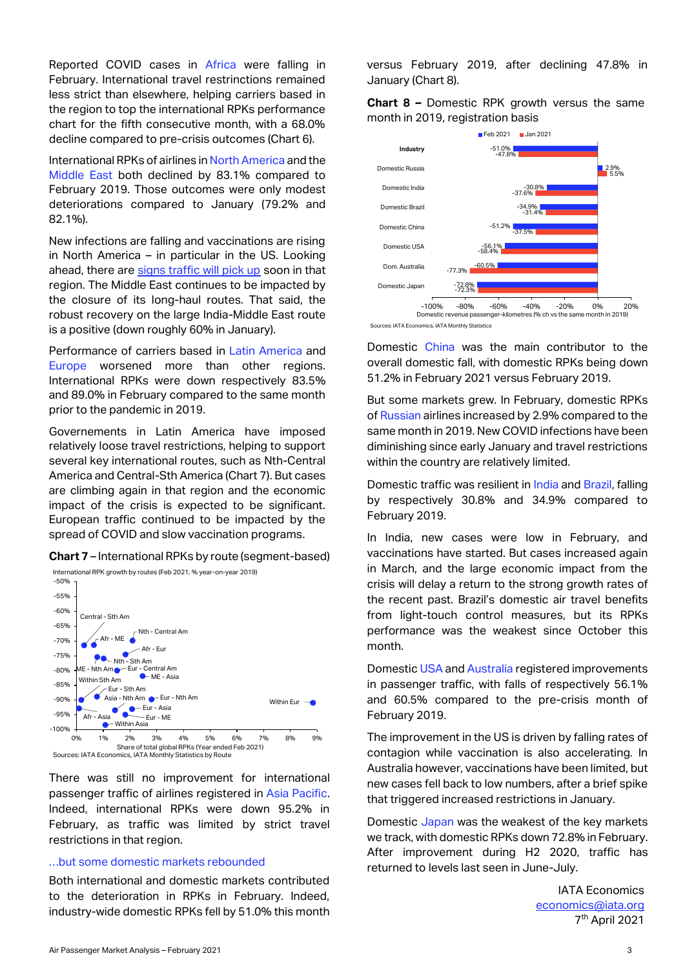Reported COVID cases in Africa were falling in February. International travel restrinctions remained less strict than elsewhere, helping carriers based in the region to top the international RPKs performance chart for the fifth consecutive month, with a 68.0% decline compared to pre-crisis outcomes (Chart 6).

International RPKs of airlines in North America and the Middle East both declined by 83.1% compared to February 2019. Those outcomes were only modest deteriorations compared to January (79.2% and 82.1%).

New infections are falling and vaccinations are rising in North America – in particular in the US. Looking ahead, there are [signs traffic will pick up](https://www.iata.org/en/iata-repository/publications/economic-reports/us-airlines-might-start-to-see-the-light-at-the-end-of-the-tunnel/) soon in that region. The Middle East continues to be impacted by the closure of its long-haul routes. That said, the robust recovery on the large India-Middle East route is a positive (down roughly 60% in January).

Performance of carriers based in Latin America and Europe worsened more than other regions. International RPKs were down respectively 83.5% and 89.0% in February compared to the same month prior to the pandemic in 2019.

Governements in Latin America have imposed relatively loose travel restrictions, helping to support several key international routes, such as Nth-Central America and Central-Sth America (Chart 7). But cases are climbing again in that region and the economic impact of the crisis is expected to be significant. European traffic continued to be impacted by the spread of COVID and slow vaccination programs.





There was still no improvement for international passenger traffic of airlines registered in Asia Pacific. Indeed, international RPKs were down 95.2% in February, as traffic was limited by strict travel restrictions in that region.

#### …but some domestic markets rebounded

Both international and domestic markets contributed to the deterioration in RPKs in February. Indeed, industry-wide domestic RPKs fell by 51.0% this month versus February 2019, after declining 47.8% in January (Chart 8).

**Chart 8 –** Domestic RPK growth versus the same month in 2019, registration basis



Sources: IATA Economics, IATA Monthly Statistics

Domestic China was the main contributor to the overall domestic fall, with domestic RPKs being down 51.2% in February 2021 versus February 2019.

But some markets grew. In February, domestic RPKs of Russian airlines increased by 2.9% compared to the same month in 2019. New COVID infections have been diminishing since early January and travel restrictions within the country are relatively limited.

Domestic traffic was resilient in India and Brazil, falling by respectively 30.8% and 34.9% compared to February 2019.

In India, new cases were low in February, and vaccinations have started. But cases increased again in March, and the large economic impact from the crisis will delay a return to the strong growth rates of the recent past. Brazil's domestic air travel benefits from light-touch control measures, but its RPKs performance was the weakest since October this month.

Domestic USA and Australia registered improvements in passenger traffic, with falls of respectively 56.1% and 60.5% compared to the pre-crisis month of February 2019.

The improvement in the US is driven by falling rates of contagion while vaccination is also accelerating. In Australia however, vaccinations have been limited, but new cases fell back to low numbers, after a brief spike that triggered increased restrictions in January.

Domestic Japan was the weakest of the key markets we track, with domestic RPKs down 72.8% in February. After improvement during H2 2020, traffic has returned to levels last seen in June-July.

> IATA Economics [economics@iata.org](mailto:economics@iata.org) 7 th April 2021